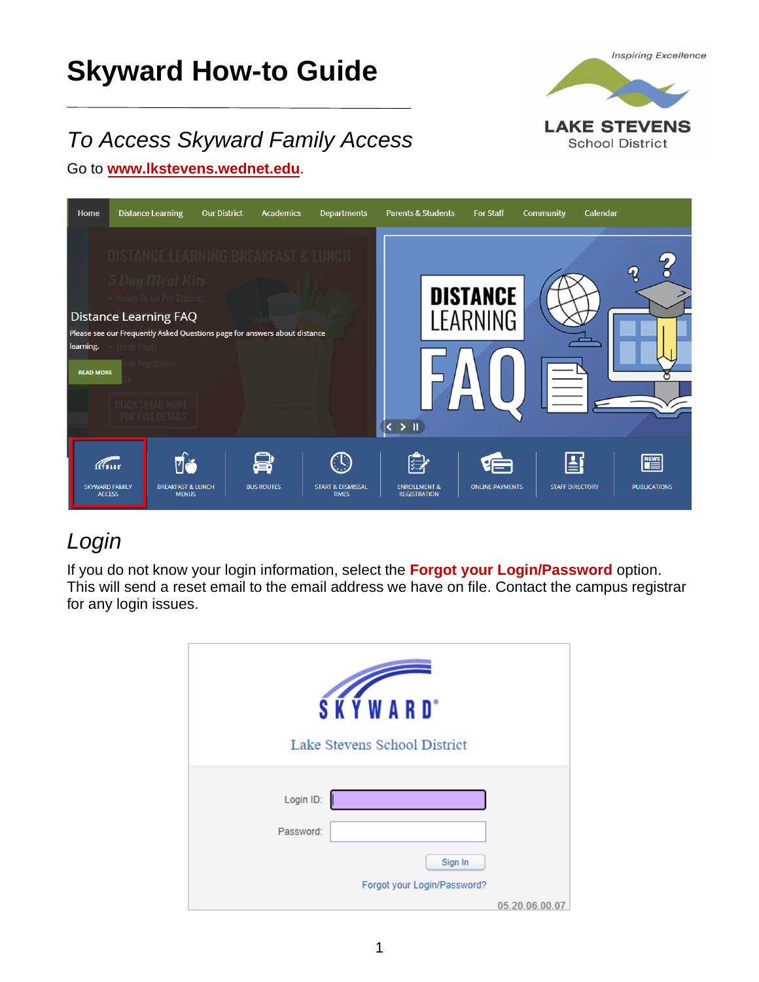# **Skyward How-to Guide**



# *To Access Skyward Family Access*

Go to **[www.lkstevens.wednet.edu](https://www.lkstevens.wednet.edu/)**.



# *Login*

If you do not know your login information, select the **Forgot your Login/Password** option. This will send a reset email to the email address we have on file. Contact the campus registrar for any login issues.

| <b>SKYWARD</b> <sup>*</sup><br>Lake Stevens School District |                |
|-------------------------------------------------------------|----------------|
| Login ID:<br>Password:                                      |                |
| Sign In<br>Forgot your Login/Password?                      | 05.20.06.00.07 |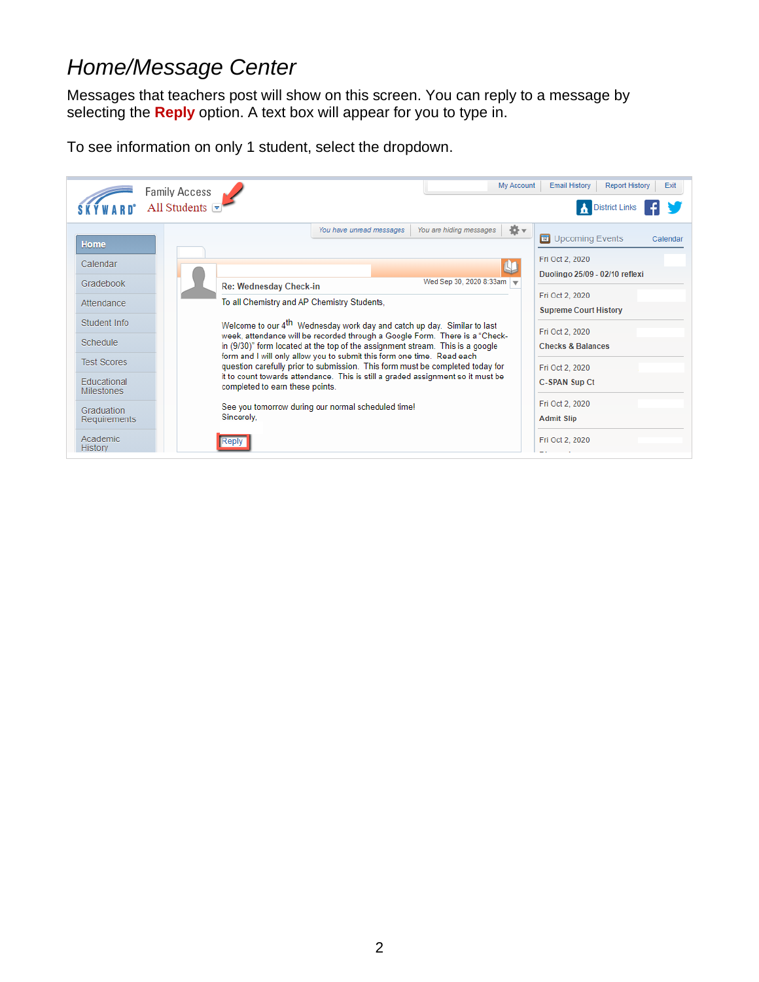#### *Home/Message Center*

Messages that teachers post will show on this screen. You can reply to a message by selecting the **Reply** option. A text box will appear for you to type in.

To see information on only 1 student, select the dropdown.

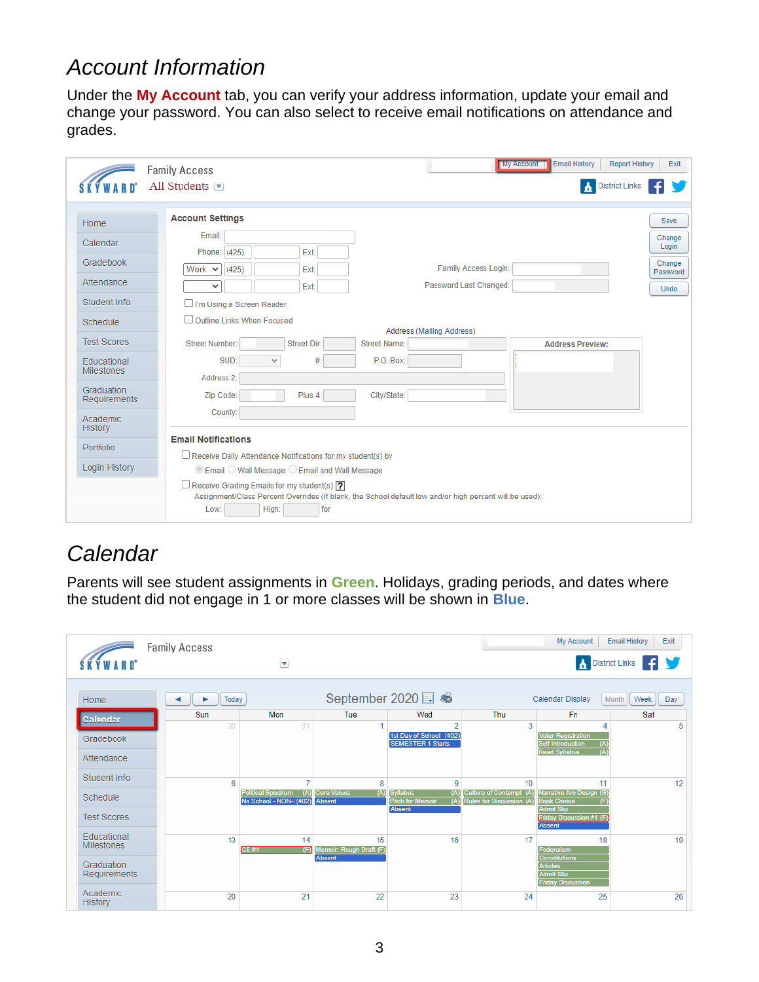#### *Account Information*

Under the **My Account** tab, you can verify your address information, update your email and change your password. You can also select to receive email notifications on attendance and grades.

|                                  | <b>Email History</b><br><b>Report History</b><br><b>My Account</b><br><b>Family Access</b>                                                                                                     | Exit               |
|----------------------------------|------------------------------------------------------------------------------------------------------------------------------------------------------------------------------------------------|--------------------|
|                                  | <b>A</b> District Links<br>All Students $\blacktriangleright$                                                                                                                                  |                    |
| <b>Home</b>                      | <b>Account Settings</b>                                                                                                                                                                        | Save               |
| Calendar                         | Email:<br>Phone: (425)<br>Ext:                                                                                                                                                                 | Change<br>Login    |
| Gradebook                        | Family Access Login:<br>Work $\vee$<br>(425)<br>Ext:                                                                                                                                           | Change<br>Password |
| Attendance                       | Password Last Changed:<br>Ext:<br>$\checkmark$                                                                                                                                                 | <b>Undo</b>        |
| Student Info                     | □ I'm Using a Screen Reader                                                                                                                                                                    |                    |
| Schedule                         | Outline Links When Focused<br>Address (Mailing Address)                                                                                                                                        |                    |
| <b>Test Scores</b>               | <b>Street Number:</b><br>Street Dir:<br>Street Name:<br><b>Address Preview:</b>                                                                                                                |                    |
| Educational<br><b>Milestones</b> | SUD:<br>P.O. Box:<br>#:<br>$\checkmark$<br>Address 2:                                                                                                                                          |                    |
| Graduation<br>Requirements       | Zip Code:<br>Plus 4:<br>City/State:                                                                                                                                                            |                    |
| <b>Academic</b><br>History       | County:                                                                                                                                                                                        |                    |
| <b>Portfolio</b>                 | <b>Email Notifications</b>                                                                                                                                                                     |                    |
| Login History                    | Receive Daily Attendance Notifications for my student(s) by<br>◉ Email ◯ Wall Message ◯ Email and Wall Message                                                                                 |                    |
|                                  | $\Box$ Receive Grading Emails for my student(s) $\boxed{?}$<br>Assignment/Class Percent Overrides (If blank, the School default low and/or high percent will be used):<br>High:<br>Low:<br>for |                    |

## *Calendar*

Parents will see student assignments in **Green**. Holidays, grading periods, and dates where the student did not engage in 1 or more classes will be shown in **Blue**.

|                                         | <b>Family Access</b> |                                                             |                                     |                                                                           |                                                     | My Account                                                                                       | <b>Email History</b><br>Exit     |
|-----------------------------------------|----------------------|-------------------------------------------------------------|-------------------------------------|---------------------------------------------------------------------------|-----------------------------------------------------|--------------------------------------------------------------------------------------------------|----------------------------------|
| <b>SKÝWARD</b> *                        |                      | ◛                                                           |                                     |                                                                           |                                                     |                                                                                                  | <b>A</b> District Links <b>4</b> |
| Home                                    | Today                |                                                             |                                     | <b>Calendar Display</b>                                                   | Month<br>Week<br>Day                                |                                                                                                  |                                  |
| Calendar                                | Sun                  | Mon                                                         | Tue                                 | Wed                                                                       | Thu                                                 | Fri                                                                                              | Sat                              |
| Gradebook                               | 30                   | 31                                                          |                                     | 2<br>1st Day of School (402)<br><b>SEMESTER 1 Starts</b>                  | 3                                                   | Δ<br><b>Voter Registration</b><br><b>Self Introduction</b><br>(A)<br>(A)<br><b>Read Syllabus</b> | 5                                |
| Attendance                              |                      |                                                             |                                     |                                                                           |                                                     |                                                                                                  |                                  |
| Student Info                            | 6                    | $\overline{\phantom{a}}$                                    | 8                                   | 9                                                                         | 10                                                  | 11                                                                                               | 12                               |
| Schedule                                |                      | <b>Political Spectrum</b><br>(A)<br>No School - NON-! (402) | <b>Core Values</b><br>(A)<br>Absent | <b>Syllabus</b><br>(A)<br><b>Pitch for Memoir</b><br>(A)<br><b>Absent</b> | Culture of Contempt (A)<br>Rules for Discussion (A) | Narrative Arc Design (B)<br><b>Book Choice</b><br>(F)<br><b>Admit Slip</b>                       |                                  |
| <b>Test Scores</b>                      |                      |                                                             |                                     |                                                                           |                                                     | <b>Friday Discussion #1 (F)</b><br>Absent                                                        |                                  |
| <b>Educational</b><br><b>Milestones</b> | 13                   | 14<br><b>CE#1</b><br>(F)                                    | 15<br>Memoir: Rough Draft (F)       | 16                                                                        | 17                                                  | 18<br>Federalism                                                                                 | 19                               |
| Graduation<br>Requirements              |                      |                                                             | Absent                              |                                                                           |                                                     | <b>Constitutions</b><br><b>Articles</b><br><b>Admit Slip</b><br><b>Friday Discussion</b>         |                                  |
| Academic<br><b>History</b>              | 20                   | 21                                                          | 22                                  | 23                                                                        | 24                                                  | 25                                                                                               | 26                               |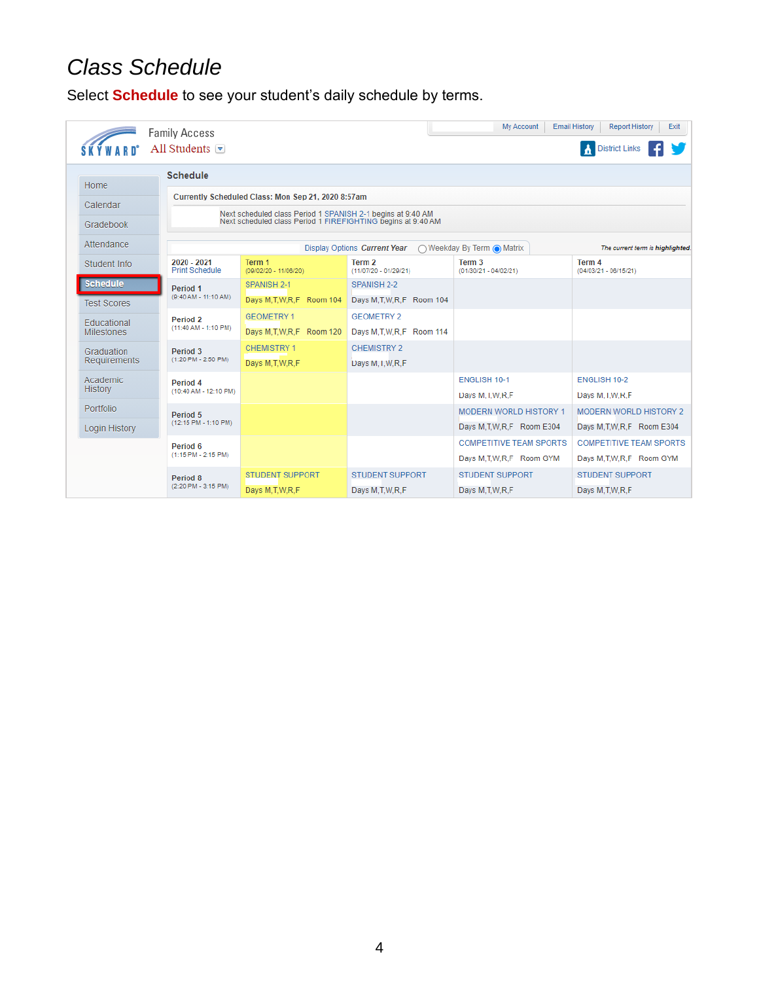# *Class Schedule*

Select **Schedule** to see your student's daily schedule by terms.

|                    | <b>Family Access</b>                                        |                                                              |                                 | My Account                                   | <b>Email History</b><br>Exit<br><b>Report History</b> |  |  |  |
|--------------------|-------------------------------------------------------------|--------------------------------------------------------------|---------------------------------|----------------------------------------------|-------------------------------------------------------|--|--|--|
|                    | All Students $\lceil \nabla \rceil$                         |                                                              |                                 |                                              | <b>District Links</b>                                 |  |  |  |
|                    | <b>Schedule</b>                                             |                                                              |                                 |                                              |                                                       |  |  |  |
| <b>Home</b>        | Currently Scheduled Class: Mon Sep 21, 2020 8:57am          |                                                              |                                 |                                              |                                                       |  |  |  |
| Calendar           | Next scheduled class Period 1 SPANISH 2-1 begins at 9:40 AM |                                                              |                                 |                                              |                                                       |  |  |  |
| Gradebook          |                                                             | Next scheduled class Period 1 FIREFIGHTING begins at 9:40 AM |                                 |                                              |                                                       |  |  |  |
| Attendance         |                                                             |                                                              | Display Options Current Year    | ◯ Weekday By Term O Matrix                   | The current term is highlighted.                      |  |  |  |
| Student Info       | 2020 - 2021<br><b>Print Schedule</b>                        | Term 1<br>(09/02/20 - 11/06/20)                              | Term 2<br>(11/07/20 - 01/29/21) | Term <sub>3</sub><br>$(01/30/21 - 04/02/21)$ | Term 4<br>$(04/03/21 - 06/15/21)$                     |  |  |  |
| <b>Schedule</b>    | Period 1                                                    | SPANISH 2-1                                                  | SPANISH 2-2                     |                                              |                                                       |  |  |  |
| <b>Test Scores</b> | (9:40 AM - 11:10 AM)                                        | Days M.T.W.R.F Room 104                                      | Days M.T.W.R.F Room 104         |                                              |                                                       |  |  |  |
| Educational        | Period 2                                                    | <b>GEOMETRY 1</b>                                            | <b>GEOMETRY 2</b>               |                                              |                                                       |  |  |  |
| <b>Milestones</b>  | (11:40 AM - 1:10 PM)                                        | Days M.T.W.R.F Room 120                                      | Days M.T.W.R.F Room 114         |                                              |                                                       |  |  |  |
| Graduation         | Period 3                                                    | <b>CHEMISTRY 1</b>                                           | <b>CHEMISTRY 2</b>              |                                              |                                                       |  |  |  |
| Requirements       | $(1:20$ PM - 2:50 PM)                                       | Days M.T.W.R.F                                               | Days M.I.W.R.F                  |                                              |                                                       |  |  |  |
| Academic           | Period 4                                                    |                                                              |                                 | <b>ENGLISH 10-1</b>                          | <b>ENGLISH 10-2</b>                                   |  |  |  |
| <b>History</b>     | (10:40 AM - 12:10 PM)                                       |                                                              |                                 | Days M.I.W.R.F                               | Days M.I.W.R.F                                        |  |  |  |
| Portfolio          | Period 5                                                    |                                                              |                                 | <b>MODERN WORLD HISTORY 1</b>                | <b>MODERN WORLD HISTORY 2</b>                         |  |  |  |
| Login History      | (12:15 PM - 1:10 PM)                                        |                                                              |                                 | Days M.T.W.R.F Room E304                     | Days M.T.W.R.F Room E304                              |  |  |  |
|                    | Period 6                                                    |                                                              |                                 | <b>COMPETITIVE TEAM SPORTS</b>               | <b>COMPETITIVE TEAM SPORTS</b>                        |  |  |  |
|                    | $(1:15 \text{ PM} - 2:15 \text{ PM})$                       |                                                              |                                 | Days M.T.W.R.F Room GYM                      | Days M.T.W.R.F Room GYM                               |  |  |  |
|                    | Period 8                                                    | <b>STUDENT SUPPORT</b>                                       | <b>STUDENT SUPPORT</b>          | <b>STUDENT SUPPORT</b>                       | <b>STUDENT SUPPORT</b>                                |  |  |  |
|                    | (2:20 PM - 3:15 PM)                                         | Days M, T, W, R, F                                           | Days M.T.W.R.F                  | Days M.T.W.R.F                               | Days M.T.W.R.F                                        |  |  |  |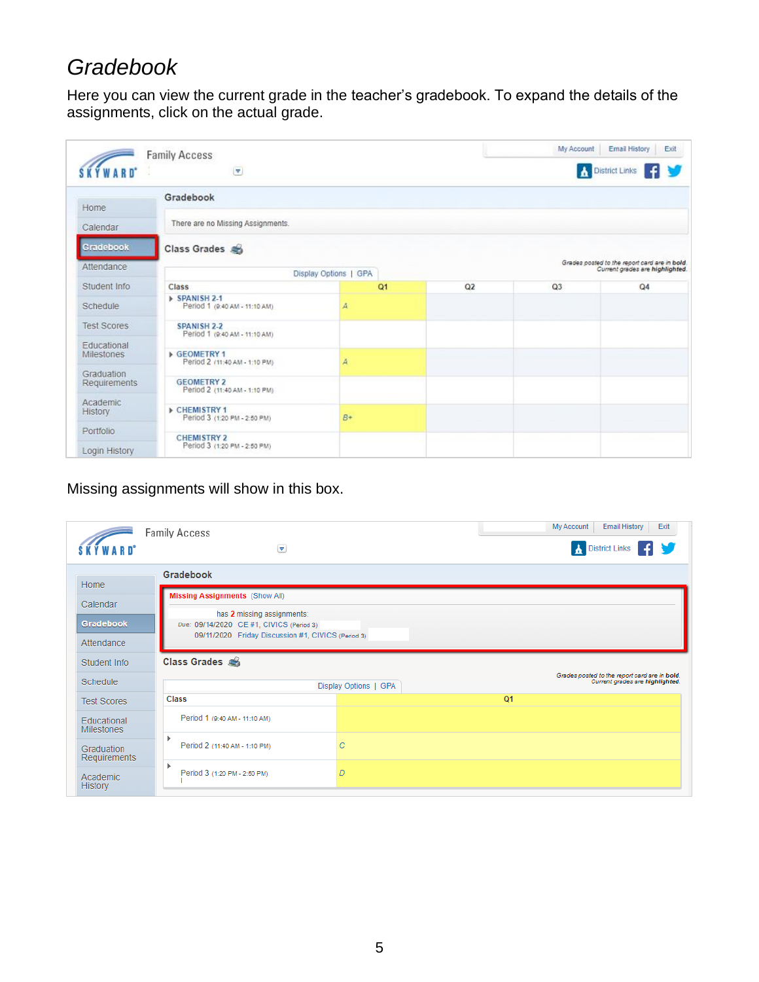## *Gradebook*

Here you can view the current grade in the teacher's gradebook. To expand the details of the assignments, click on the actual grade.

| <b>YWARD</b>                     | <b>Family Access</b><br>$\overline{\mathbf{v}}$     |      |                                                                                  | My Account | <b>Email History</b><br>Exit<br>District Links |  |
|----------------------------------|-----------------------------------------------------|------|----------------------------------------------------------------------------------|------------|------------------------------------------------|--|
| Home                             | Gradebook                                           |      |                                                                                  |            |                                                |  |
| Calendar                         | There are no Missing Assignments.                   |      |                                                                                  |            |                                                |  |
| Gradebook                        | Class Grades                                        |      |                                                                                  |            |                                                |  |
| Attendance                       | Display Options   GPA                               |      | Grades posted to the report card are in bold.<br>Current grades are highlighted. |            |                                                |  |
| Student Info                     | Class                                               | Q1   | Q <sub>2</sub>                                                                   | Q3         | Q <sub>4</sub>                                 |  |
| Schedule                         | SPANISH 2-1<br>Period 1 (9:40 AM - 11:10 AM)        | Д    |                                                                                  |            |                                                |  |
| <b>Test Scores</b>               | <b>SPANISH 2-2</b><br>Period 1 (9:40 AM - 11:10 AM) |      |                                                                                  |            |                                                |  |
| Educational<br><b>Milestones</b> | GEOMETRY 1<br>Period 2 /11:40 AM - 1:10 PM)         | Ā    |                                                                                  |            |                                                |  |
| Graduation<br>Requirements       | <b>GEOMETRY 2</b><br>Period 2 (11:40 AM - 1:10 PM)  |      |                                                                                  |            |                                                |  |
| Academic<br>History              | CHEMISTRY 1<br>Period 3 (1:20 PM - 2:50 PM)         | $B+$ |                                                                                  |            |                                                |  |
| Portfolio<br>Login History       | <b>CHEMISTRY 2</b><br>Period 3 (1:20 PM - 2:50 PM)  |      |                                                                                  |            |                                                |  |

#### Missing assignments will show in this box.

|                                   | <b>Family Access</b>                                                   | My Account<br><b>Email History</b><br>Exit |                                                                                  |
|-----------------------------------|------------------------------------------------------------------------|--------------------------------------------|----------------------------------------------------------------------------------|
| <b>SKÝWARN</b> <sup>*</sup>       | $\left[\begin{matrix}\blacktriangledown\end{matrix}\right]$            | <b>A</b> District Links <b>F</b>           |                                                                                  |
| <b>Home</b>                       |                                                                        |                                            |                                                                                  |
| Calendar                          | <b>Missing Assignments</b> (Show All)                                  |                                            |                                                                                  |
| Gradebook                         | has 2 missing assignments:<br>Due: 09/14/2020 CE #1, CIVICS (Period 3) |                                            |                                                                                  |
| Attendance                        | 09/11/2020 Friday Discussion #1, CIVICS (Period 3)                     |                                            |                                                                                  |
| Student Info                      | Class Grades                                                           |                                            |                                                                                  |
| Schedule                          |                                                                        | Display Options   GPA                      | Grades posted to the report card are in bold.<br>Current grades are highlighted. |
| <b>Test Scores</b>                | Class                                                                  |                                            | Q <sub>1</sub>                                                                   |
| Educational<br><b>Milestones</b>  | Period 1 (9:40 AM - 11:10 AM)                                          |                                            |                                                                                  |
| Graduation<br>Requirements        | ٠<br>Period 2 (11:40 AM - 1:10 PM)                                     | С                                          |                                                                                  |
| <b>Academic</b><br><b>History</b> | ٠<br>Period 3 (1:20 PM - 2:50 PM)                                      | D                                          |                                                                                  |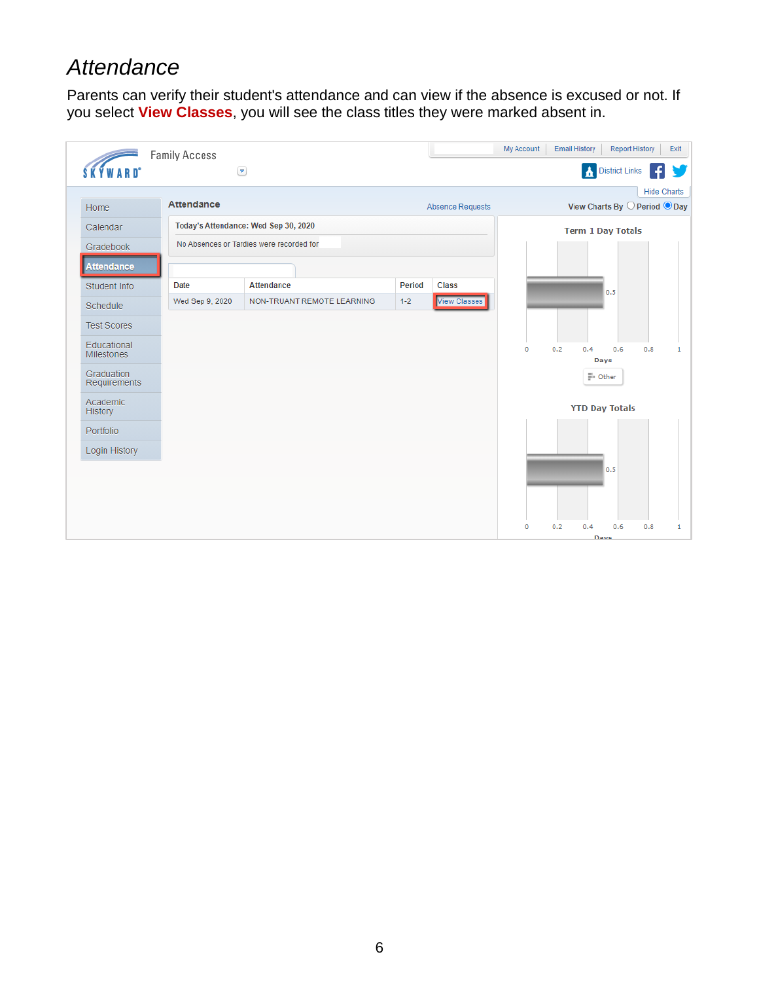### *Attendance*

Parents can verify their student's attendance and can view if the absence is excused or not. If you select **View Classes**, you will see the class titles they were marked absent in.

|                                  | <b>Family Access</b>              |                                          |         |                         | My Account<br><b>Email History</b><br><b>Report History</b><br>Exit |
|----------------------------------|-----------------------------------|------------------------------------------|---------|-------------------------|---------------------------------------------------------------------|
| <b>SKÝWARD</b> *                 | $\left( \bigtriangledown \right)$ |                                          |         |                         | District Links                                                      |
|                                  |                                   |                                          |         |                         | <b>Hide Charts</b>                                                  |
| Home                             | <b>Attendance</b>                 |                                          |         | <b>Absence Requests</b> | View Charts By $\bigcirc$ Period $\bigcirc$ Day                     |
| Calendar                         |                                   | Today's Attendance: Wed Sep 30, 2020     |         |                         | <b>Term 1 Day Totals</b>                                            |
| Gradebook                        |                                   | No Absences or Tardies were recorded for |         |                         |                                                                     |
| <b>Attendance</b>                |                                   |                                          |         |                         |                                                                     |
| Student Info                     | <b>Date</b>                       | <b>Attendance</b>                        | Period  | <b>Class</b>            | 0.5                                                                 |
| Schedule                         | Wed Sep 9, 2020                   | NON-TRUANT REMOTE LEARNING               | $1 - 2$ | <b>View Classes</b>     |                                                                     |
| <b>Test Scores</b>               |                                   |                                          |         |                         |                                                                     |
| Educational<br><b>Milestones</b> |                                   |                                          |         |                         | 0.2<br>$\circ$<br>0,4<br>0.6<br>0.8<br>1<br>Days                    |
| Graduation<br>Requirements       |                                   |                                          |         |                         | == Other                                                            |
| Academic<br>History              |                                   |                                          |         |                         | <b>YTD Day Totals</b>                                               |
| Portfolio                        |                                   |                                          |         |                         |                                                                     |
| Login History                    |                                   |                                          |         |                         |                                                                     |
|                                  |                                   |                                          |         |                         | 0.5                                                                 |
|                                  |                                   |                                          |         |                         |                                                                     |
|                                  |                                   |                                          |         |                         | 0.2<br>0.4<br>0.6<br>0.8<br>$\mathbf{1}$<br>$\circ$<br>Davs         |
|                                  |                                   |                                          |         |                         |                                                                     |